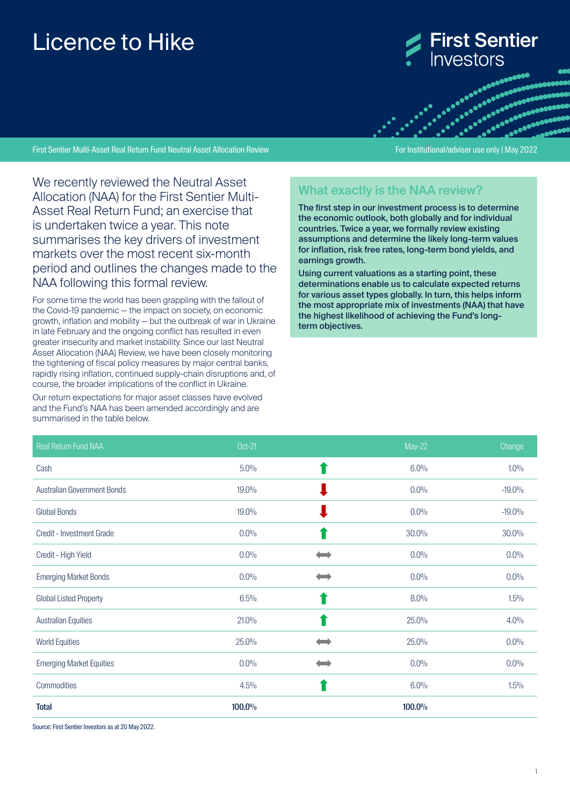# Licence to Hike



First Sentier Multi-Asset Real Return Fund Neutral Asset Allocation Review For Institutional/adviser use only | May 2022

entre de la consecution de la consecution de la consecution de la consecution de la consecution de la consecut<br>La consecution de la consecution de la consecution de la consecution de la consecution de la consecution de la 

We recently reviewed the Neutral Asset Allocation (NAA) for the First Sentier Multi-Asset Real Return Fund; an exercise that is undertaken twice a year. This note summarises the key drivers of investment markets over the most recent six-month period and outlines the changes made to the NAA following this formal review.

For some time the world has been grappling with the fallout of the Covid-19 pandemic — the impact on society, on economic growth, inflation and mobility — but the outbreak of war in Ukraine in late February and the ongoing conflict has resulted in even greater insecurity and market instability. Since our last Neutral Asset Allocation (NAA) Review, we have been closely monitoring the tightening of fiscal policy measures by major central banks, rapidly rising inflation, continued supply-chain disruptions and, of course, the broader implications of the conflict in Ukraine.

Our return expectations for major asset classes have evolved and the Fund's NAA has been amended accordingly and are summarised in the table below.

## What exactly is the NAA review?

The first step in our investment process is to determine the economic outlook, both globally and for individual countries. Twice a year, we formally review existing assumptions and determine the likely long-term values for inflation, risk free rates, long-term bond yields, and earnings growth.

Using current valuations as a starting point, these determinations enable us to calculate expected returns for various asset types globally. In turn, this helps inform the most appropriate mix of investments (NAA) that have the highest likelihood of achieving the Fund's longterm objectives.

| Real Return Fund NAA               | Oct-21  | May-22  | Change   |
|------------------------------------|---------|---------|----------|
| Cash                               | $5.0\%$ | 6.0%    | $1.0\%$  |
| <b>Australian Government Bonds</b> | 19.0%   | $0.0\%$ | $-19.0%$ |
| <b>Global Bonds</b>                | 19.0%   | $0.0\%$ | $-19.0%$ |
| <b>Credit - Investment Grade</b>   | 0.0%    | 30.0%   | 30.0%    |
| Credit - High Yield                | 0.0%    | 0.0%    | 0.0%     |
| <b>Emerging Market Bonds</b>       | 0.0%    | 0.0%    | 0.0%     |
| <b>Global Listed Property</b>      | 6.5%    | 8.0%    | $1.5\%$  |
| <b>Australian Equities</b>         | 21.0%   | 25.0%   | 4.0%     |
| <b>World Equities</b>              | 25.0%   | 25.0%   | 0.0%     |
| <b>Emerging Market Equities</b>    | 0.0%    | $0.0\%$ | 0.0%     |
| Commodities                        | 4.5%    | 6.0%    | $1.5\%$  |
| <b>Total</b>                       | 100.0%  | 100.0%  |          |

Source: First Sentier Investors as at 20 May 2022.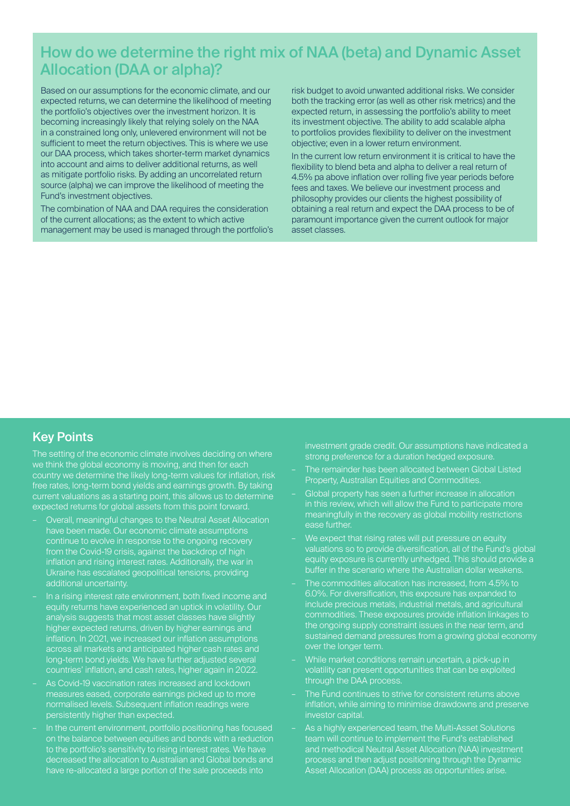## How do we determine the right mix of NAA (beta) and Dynamic Asset Allocation (DAA or alpha)?

Based on our assumptions for the economic climate, and our expected returns, we can determine the likelihood of meeting the portfolio's objectives over the investment horizon. It is becoming increasingly likely that relying solely on the NAA in a constrained long only, unlevered environment will not be sufficient to meet the return objectives. This is where we use our DAA process, which takes shorter-term market dynamics into account and aims to deliver additional returns, as well as mitigate portfolio risks. By adding an uncorrelated return source (alpha) we can improve the likelihood of meeting the Fund's investment objectives.

The combination of NAA and DAA requires the consideration of the current allocations; as the extent to which active management may be used is managed through the portfolio's

risk budget to avoid unwanted additional risks. We consider both the tracking error (as well as other risk metrics) and the expected return, in assessing the portfolio's ability to meet its investment objective. The ability to add scalable alpha to portfolios provides flexibility to deliver on the investment objective; even in a lower return environment.

In the current low return environment it is critical to have the flexibility to blend beta and alpha to deliver a real return of 4.5% pa above inflation over rolling five year periods before fees and taxes. We believe our investment process and philosophy provides our clients the highest possibility of obtaining a real return and expect the DAA process to be of paramount importance given the current outlook for major asset classes.

#### Key Points

The setting of the economic climate involves deciding on where we think the global economy is moving, and then for each country we determine the likely long-term values for inflation, risk free rates, long-term bond yields and earnings growth. By taking current valuations as a starting point, this allows us to determine expected returns for global assets from this point forward.

- Overall, meaningful changes to the Neutral Asset Allocation have been made. Our economic climate assumptions continue to evolve in response to the ongoing recovery from the Covid-19 crisis, against the backdrop of high inflation and rising interest rates. Additionally, the war in Ukraine has escalated geopolitical tensions, providing additional uncertainty.
- In a rising interest rate environment, both fixed income and equity returns have experienced an uptick in volatility. Our analysis suggests that most asset classes have slightly higher expected returns, driven by higher earnings and inflation. In 2021, we increased our inflation assumptions across all markets and anticipated higher cash rates and long-term bond yields. We have further adjusted several countries' inflation, and cash rates, higher again in 2022.
- As Covid-19 vaccination rates increased and lockdown measures eased, corporate earnings picked up to more normalised levels. Subsequent inflation readings were persistently higher than expected.
- In the current environment, portfolio positioning has focused on the balance between equities and bonds with a reduction to the portfolio's sensitivity to rising interest rates. We have decreased the allocation to Australian and Global bonds and have re-allocated a large portion of the sale proceeds into

investment grade credit. Our assumptions have indicated a strong preference for a duration hedged exposure.

- The remainder has been allocated between Global Listed Property, Australian Equities and Commodities.
- Global property has seen a further increase in allocation in this review, which will allow the Fund to participate more meaningfully in the recovery as global mobility restrictions ease further.
- We expect that rising rates will put pressure on equity valuations so to provide diversification, all of the Fund's global equity exposure is currently unhedged. This should provide a buffer in the scenario where the Australian dollar weakens.
- The commodities allocation has increased, from 4.5% to 6.0%. For diversification, this exposure has expanded to include precious metals, industrial metals, and agricultural commodities. These exposures provide inflation linkages to the ongoing supply constraint issues in the near term, and sustained demand pressures from a growing global economy over the longer term.
- While market conditions remain uncertain, a pick-up in volatility can present opportunities that can be exploited through the DAA process.
- The Fund continues to strive for consistent returns above inflation, while aiming to minimise drawdowns and preserve investor capital.
- As a highly experienced team, the Multi-Asset Solutions team will continue to implement the Fund's established and methodical Neutral Asset Allocation (NAA) investment process and then adjust positioning through the Dynamic Asset Allocation (DAA) process as opportunities arise.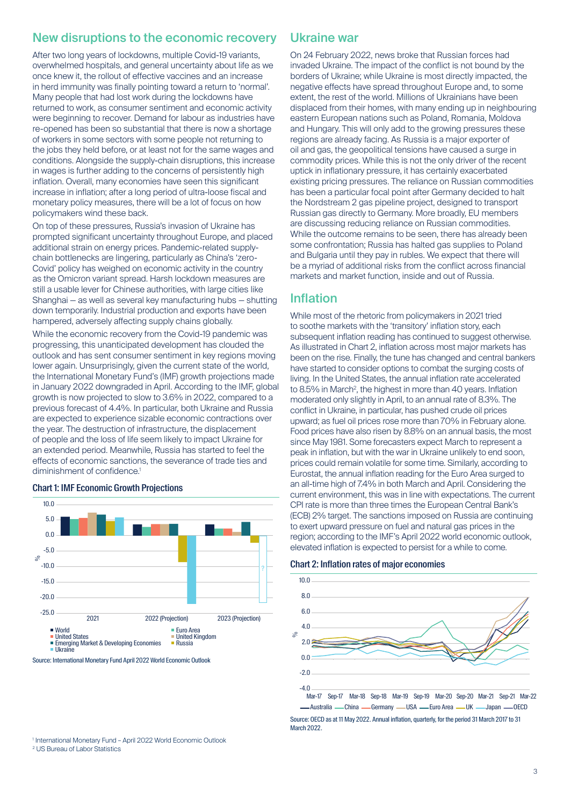#### New disruptions to the economic recovery

After two long years of lockdowns, multiple Covid-19 variants, overwhelmed hospitals, and general uncertainty about life as we once knew it, the rollout of effective vaccines and an increase in herd immunity was finally pointing toward a return to 'normal'. Many people that had lost work during the lockdowns have returned to work, as consumer sentiment and economic activity were beginning to recover. Demand for labour as industries have re-opened has been so substantial that there is now a shortage of workers in some sectors with some people not returning to the jobs they held before, or at least not for the same wages and conditions. Alongside the supply-chain disruptions, this increase in wages is further adding to the concerns of persistently high inflation. Overall, many economies have seen this significant increase in inflation; after a long period of ultra-loose fiscal and monetary policy measures, there will be a lot of focus on how policymakers wind these back.

On top of these pressures, Russia's invasion of Ukraine has prompted significant uncertainty throughout Europe, and placed additional strain on energy prices. Pandemic-related supplychain bottlenecks are lingering, particularly as China's 'zero-Covid' policy has weighed on economic activity in the country as the Omicron variant spread. Harsh lockdown measures are still a usable lever for Chinese authorities, with large cities like Shanghai — as well as several key manufacturing hubs — shutting down temporarily. Industrial production and exports have been hampered, adversely affecting supply chains globally.

While the economic recovery from the Covid-19 pandemic was progressing, this unanticipated development has clouded the outlook and has sent consumer sentiment in key regions moving lower again. Unsurprisingly, given the current state of the world, the International Monetary Fund's (IMF) growth projections made in January 2022 downgraded in April. According to the IMF, global growth is now projected to slow to 3.6% in 2022, compared to a previous forecast of 4.4%. In particular, both Ukraine and Russia are expected to experience sizable economic contractions over the year. The destruction of infrastructure, the displacement of people and the loss of life seem likely to impact Ukraine for an extended period. Meanwhile, Russia has started to feel the effects of economic sanctions, the severance of trade ties and diminishment of confidence.<sup>1</sup>

#### Chart 1: IMF Economic Growth Projections



Source: International Monetary Fund April 2022 World Economic Outlook

#### Ukraine war

On 24 February 2022, news broke that Russian forces had invaded Ukraine. The impact of the conflict is not bound by the borders of Ukraine; while Ukraine is most directly impacted, the negative effects have spread throughout Europe and, to some extent, the rest of the world. Millions of Ukrainians have been displaced from their homes, with many ending up in neighbouring eastern European nations such as Poland, Romania, Moldova and Hungary. This will only add to the growing pressures these regions are already facing. As Russia is a major exporter of oil and gas, the geopolitical tensions have caused a surge in commodity prices. While this is not the only driver of the recent uptick in inflationary pressure, it has certainly exacerbated existing pricing pressures. The reliance on Russian commodities has been a particular focal point after Germany decided to halt the Nordstream 2 gas pipeline project, designed to transport Russian gas directly to Germany. More broadly, EU members are discussing reducing reliance on Russian commodities. While the outcome remains to be seen, there has already been some confrontation; Russia has halted gas supplies to Poland and Bulgaria until they pay in rubles. We expect that there will be a myriad of additional risks from the conflict across financial markets and market function, inside and out of Russia.

#### Inflation

While most of the rhetoric from policymakers in 2021 tried to soothe markets with the 'transitory' inflation story, each subsequent inflation reading has continued to suggest otherwise. As illustrated in Chart 2, inflation across most major markets has been on the rise. Finally, the tune has changed and central bankers have started to consider options to combat the surging costs of living. In the United States, the annual inflation rate accelerated to 8.5% in March<sup>2</sup>, the highest in more than 40 years. Inflation moderated only slightly in April, to an annual rate of 8.3%. The conflict in Ukraine, in particular, has pushed crude oil prices upward; as fuel oil prices rose more than 70% in February alone. Food prices have also risen by 8.8% on an annual basis, the most since May 1981. Some forecasters expect March to represent a peak in inflation, but with the war in Ukraine unlikely to end soon, prices could remain volatile for some time. Similarly, according to Eurostat, the annual inflation reading for the Euro Area surged to an all-time high of 7.4% in both March and April. Considering the current environment, this was in line with expectations. The current CPI rate is more than three times the European Central Bank's (ECB) 2% target. The sanctions imposed on Russia are continuing to exert upward pressure on fuel and natural gas prices in the region; according to the IMF's April 2022 world economic outlook, elevated inflation is expected to persist for a while to come.





Mar-17 Sep-17 Mar-18 Sep-18 Mar-19 Sep-19 Mar-20 Sep-20 Mar-21 Sep-21 Mar-22 -Australia — China — Germany — USA — Euro Area — UK — Japan — OECD

Source: OECD as at 11 May 2022. Annual inflation, quarterly, for the period 31 March 2017 to 31 March 2022.

1 International Monetary Fund – April 2022 World Economic Outlook 2 US Bureau of Labor Statistics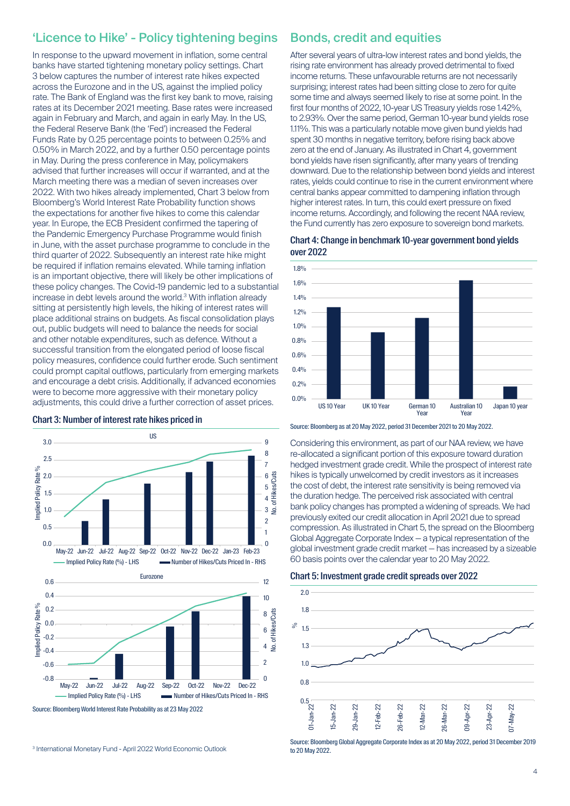## 'Licence to Hike' - Policy tightening begins

In response to the upward movement in inflation, some central banks have started tightening monetary policy settings. Chart 3 below captures the number of interest rate hikes expected across the Eurozone and in the US, against the implied policy rate. The Bank of England was the first key bank to move, raising rates at its December 2021 meeting. Base rates were increased again in February and March, and again in early May. In the US, the Federal Reserve Bank (the 'Fed') increased the Federal Funds Rate by 0.25 percentage points to between 0.25% and 0.50% in March 2022, and by a further 0.50 percentage points in May. During the press conference in May, policymakers advised that further increases will occur if warranted, and at the March meeting there was a median of seven increases over 2022. With two hikes already implemented, Chart 3 below from Bloomberg's World Interest Rate Probability function shows the expectations for another five hikes to come this calendar year. In Europe, the ECB President confirmed the tapering of the Pandemic Emergency Purchase Programme would finish in June, with the asset purchase programme to conclude in the third quarter of 2022. Subsequently an interest rate hike might be required if inflation remains elevated. While taming inflation is an important objective, there will likely be other implications of these policy changes. The Covid-19 pandemic led to a substantial increase in debt levels around the world.3 With inflation already sitting at persistently high levels, the hiking of interest rates will place additional strains on budgets. As fiscal consolidation plays out, public budgets will need to balance the needs for social and other notable expenditures, such as defence. Without a successful transition from the elongated period of loose fiscal policy measures, confidence could further erode. Such sentiment could prompt capital outflows, particularly from emerging markets and encourage a debt crisis. Additionally, if advanced economies were to become more aggressive with their monetary policy adjustments, this could drive a further correction of asset prices.

#### US 9 3.0 8 2.5 7 Rate % Implied Policy Rate % 2.0 No. of Hikes/Cuts 6 mplied Policy 5 1.5 4  $3 \nightharpoonup$ 1.0 2 0.5 1  $0.0$  $\Omega$ May-22 Jun-22 Jul-22 Aug-22 Sep-22 Oct-22 Nov-22 Dec-22 Jan-23 Feb-23 Implied Policy Rate (%) - LHS Number of Hikes/Cuts Priced In - RHS Eurozone 0.6 12 0.4 10 Rate<sup>o</sup>/o Implied Policy Rate %  $0.2$ **Hikes/Cuts** No. of Hikes/Cuts 8 0.0 mplied Policy 6 -0.2 ъ 4 نو -0.4 2 -0.6 -0.8  $\Omega$ May-22 Jun-22 Jul-22 Aug-22 Sep-22 Oct-22 Nov-22 Dec-22 Implied Policy Rate (%) - LHS Number of Hikes/Cuts Priced In - RHS

Source: Bloomberg World Interest Rate Probability as at 23 May 2022

Chart 3: Number of interest rate hikes priced in

#### Bonds, credit and equities

After several years of ultra-low interest rates and bond yields, the rising rate environment has already proved detrimental to fixed income returns. These unfavourable returns are not necessarily surprising; interest rates had been sitting close to zero for quite some time and always seemed likely to rise at some point. In the first four months of 2022, 10-year US Treasury yields rose 1.42%, to 2.93%. Over the same period, German 10-year bund yields rose 1.11%. This was a particularly notable move given bund yields had spent 30 months in negative territory, before rising back above zero at the end of January. As illustrated in Chart 4, government bond yields have risen significantly, after many years of trending downward. Due to the relationship between bond yields and interest rates, yields could continue to rise in the current environment where central banks appear committed to dampening inflation through higher interest rates. In turn, this could exert pressure on fixed income returns. Accordingly, and following the recent NAA review, the Fund currently has zero exposure to sovereign bond markets.





Source: Bloomberg as at 20 May 2022, period 31 December 2021 to 20 May 2022.

Considering this environment, as part of our NAA review, we have re-allocated a significant portion of this exposure toward duration hedged investment grade credit. While the prospect of interest rate hikes is typically unwelcomed by credit investors as it increases the cost of debt, the interest rate sensitivity is being removed via the duration hedge. The perceived risk associated with central bank policy changes has prompted a widening of spreads. We had previously exited our credit allocation in April 2021 due to spread compression. As illustrated in Chart 5, the spread on the Bloomberg Global Aggregate Corporate Index — a typical representation of the global investment grade credit market — has increased by a sizeable 60 basis points over the calendar year to 20 May 2022.





Source: Bloomberg Global Aggregate Corporate Index as at 20 May 2022, period 31 December 2019 to 20 May 2022.

<sup>3</sup> International Monetary Fund - April 2022 World Economic Outlook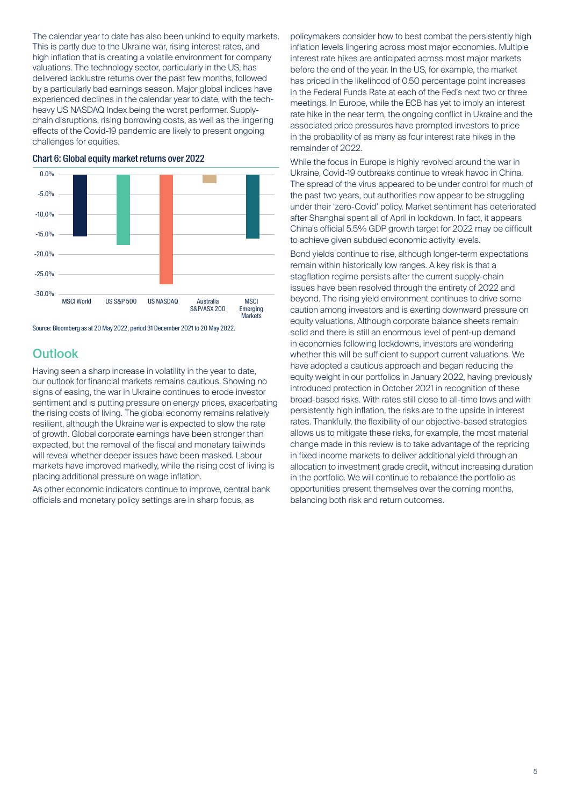The calendar year to date has also been unkind to equity markets. This is partly due to the Ukraine war, rising interest rates, and high inflation that is creating a volatile environment for company valuations. The technology sector, particularly in the US, has delivered lacklustre returns over the past few months, followed by a particularly bad earnings season. Major global indices have experienced declines in the calendar year to date, with the techheavy US NASDAQ Index being the worst performer. Supplychain disruptions, rising borrowing costs, as well as the lingering effects of the Covid-19 pandemic are likely to present ongoing challenges for equities.



Chart 6: Global equity market returns over 2022

Source: Bloomberg as at 20 May 2022, period 31 December 2021 to 20 May 2022.

#### **Outlook**

Having seen a sharp increase in volatility in the year to date, our outlook for financial markets remains cautious. Showing no signs of easing, the war in Ukraine continues to erode investor sentiment and is putting pressure on energy prices, exacerbating the rising costs of living. The global economy remains relatively resilient, although the Ukraine war is expected to slow the rate of growth. Global corporate earnings have been stronger than expected, but the removal of the fiscal and monetary tailwinds will reveal whether deeper issues have been masked. Labour markets have improved markedly, while the rising cost of living is placing additional pressure on wage inflation.

As other economic indicators continue to improve, central bank officials and monetary policy settings are in sharp focus, as

policymakers consider how to best combat the persistently high inflation levels lingering across most major economies. Multiple interest rate hikes are anticipated across most major markets before the end of the year. In the US, for example, the market has priced in the likelihood of 0.50 percentage point increases in the Federal Funds Rate at each of the Fed's next two or three meetings. In Europe, while the ECB has yet to imply an interest rate hike in the near term, the ongoing conflict in Ukraine and the associated price pressures have prompted investors to price in the probability of as many as four interest rate hikes in the remainder of 2022.

While the focus in Europe is highly revolved around the war in Ukraine, Covid-19 outbreaks continue to wreak havoc in China. The spread of the virus appeared to be under control for much of the past two years, but authorities now appear to be struggling under their 'zero-Covid' policy. Market sentiment has deteriorated after Shanghai spent all of April in lockdown. In fact, it appears China's official 5.5% GDP growth target for 2022 may be difficult to achieve given subdued economic activity levels.

Bond yields continue to rise, although longer-term expectations remain within historically low ranges. A key risk is that a stagflation regime persists after the current supply-chain issues have been resolved through the entirety of 2022 and beyond. The rising yield environment continues to drive some caution among investors and is exerting downward pressure on equity valuations. Although corporate balance sheets remain solid and there is still an enormous level of pent-up demand in economies following lockdowns, investors are wondering whether this will be sufficient to support current valuations. We have adopted a cautious approach and began reducing the equity weight in our portfolios in January 2022, having previously introduced protection in October 2021 in recognition of these broad-based risks. With rates still close to all-time lows and with persistently high inflation, the risks are to the upside in interest rates. Thankfully, the flexibility of our objective-based strategies allows us to mitigate these risks, for example, the most material change made in this review is to take advantage of the repricing in fixed income markets to deliver additional yield through an allocation to investment grade credit, without increasing duration in the portfolio. We will continue to rebalance the portfolio as opportunities present themselves over the coming months, balancing both risk and return outcomes.